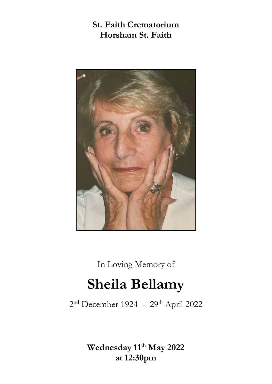## **St. Faith Crematorium Horsham St. Faith**



In Loving Memory of

# **Sheila Bellamy**

2<sup>nd</sup> December 1924 - 29<sup>th</sup> April 2022

**Wednesday 11 th May 2022 at 12:30pm**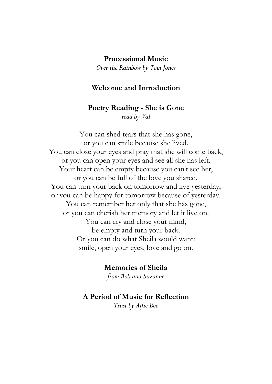### **Processional Music**

*Over the Rainbow by Tom Jones*

## **Welcome and Introduction**

**Poetry Reading - She is Gone** *read by Val*

You can shed tears that she has gone, or you can smile because she lived. You can close your eyes and pray that she will come back, or you can open your eyes and see all she has left. Your heart can be empty because you can't see her, or you can be full of the love you shared. You can turn your back on tomorrow and live yesterday, or you can be happy for tomorrow because of yesterday. You can remember her only that she has gone, or you can cherish her memory and let it live on. You can cry and close your mind, be empty and turn your back. Or you can do what Sheila would want: smile, open your eyes, love and go on.

> **Memories of Sheila** *from Rob and Suzanne*

#### **A Period of Music for Reflection**

*Trust by Alfie Boe*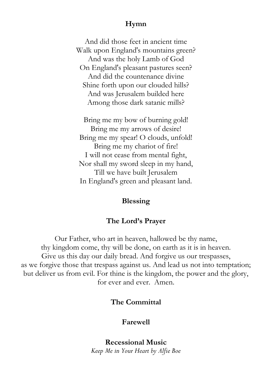## **Hymn**

And did those feet in ancient time Walk upon England's mountains green? And was the holy Lamb of God On England's pleasant pastures seen? And did the countenance divine Shine forth upon our clouded hills? And was Jerusalem builded here Among those dark satanic mills?

Bring me my bow of burning gold! Bring me my arrows of desire! Bring me my spear! O clouds, unfold! Bring me my chariot of fire! I will not cease from mental fight, Nor shall my sword sleep in my hand, Till we have built Jerusalem In England's green and pleasant land.

## **Blessing**

## **The Lord's Prayer**

Our Father, who art in heaven, hallowed be thy name, thy kingdom come, thy will be done, on earth as it is in heaven. Give us this day our daily bread. And forgive us our trespasses, as we forgive those that trespass against us. And lead us not into temptation; but deliver us from evil. For thine is the kingdom, the power and the glory, for ever and ever. Amen.

## **The Committal**

## **Farewell**

**Recessional Music** *Keep Me in Your Heart by Alfie Boe*